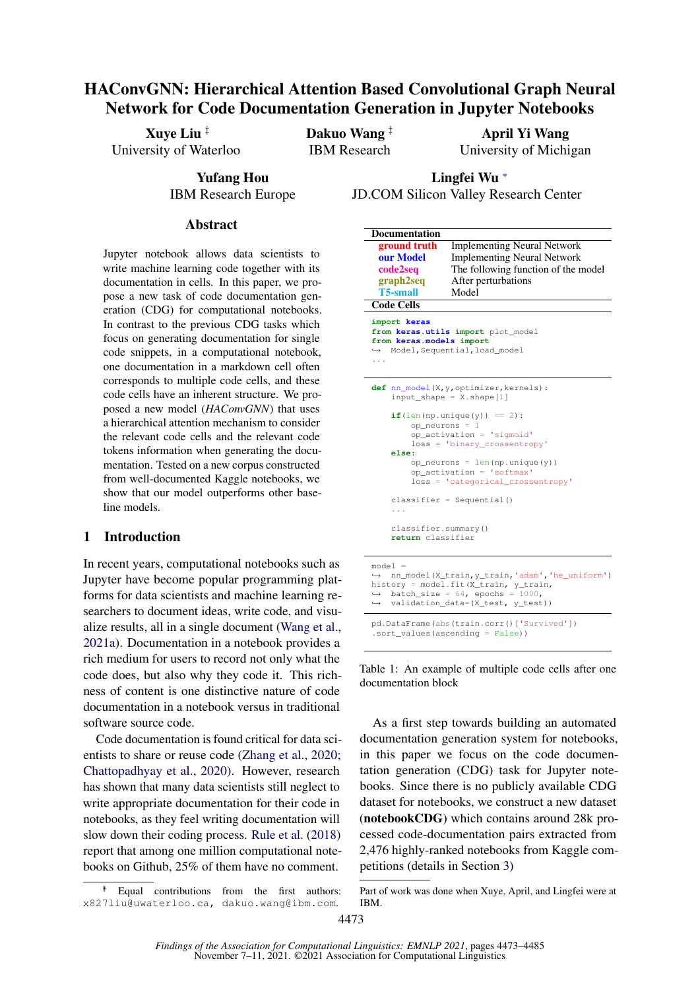# HAConvGNN: Hierarchical Attention Based Convolutional Graph Neural Network for Code Documentation Generation in Jupyter Notebooks

Xuye Liu ‡ University of Waterloo Dakuo Wang ‡ IBM Research April Yi Wang University of Michigan

> Yufang Hou IBM Research Europe

Lingfei Wu <sup>∗</sup> JD.COM Silicon Valley Research Center

<span id="page-0-0"></span>**Documentation** 

#### Abstract

Jupyter notebook allows data scientists to write machine learning code together with its documentation in cells. In this paper, we propose a new task of code documentation generation (CDG) for computational notebooks. In contrast to the previous CDG tasks which focus on generating documentation for single code snippets, in a computational notebook, one documentation in a markdown cell often corresponds to multiple code cells, and these code cells have an inherent structure. We proposed a new model (*HAConvGNN*) that uses a hierarchical attention mechanism to consider the relevant code cells and the relevant code tokens information when generating the documentation. Tested on a new corpus constructed from well-documented Kaggle notebooks, we show that our model outperforms other baseline models.

### 1 Introduction

In recent years, computational notebooks such as Jupyter have become popular programming platforms for data scientists and machine learning researchers to document ideas, write code, and visualize results, all in a single document [\(Wang et al.,](#page-9-0) [2021a\)](#page-9-0). Documentation in a notebook provides a rich medium for users to record not only what the code does, but also why they code it. This richness of content is one distinctive nature of code documentation in a notebook versus in traditional software source code.

Code documentation is found critical for data scientists to share or reuse code [\(Zhang et al.,](#page-10-0) [2020;](#page-10-0) [Chattopadhyay et al.,](#page-9-1) [2020\)](#page-9-1). However, research has shown that many data scientists still neglect to write appropriate documentation for their code in notebooks, as they feel writing documentation will slow down their coding process. [Rule et al.](#page-9-2) [\(2018\)](#page-9-2) report that among one million computational notebooks on Github, 25% of them have no comment.

| ground truth                                                                                                                                                                                                                                                          | <b>Implementing Neural Network</b>  |  |  |  |  |
|-----------------------------------------------------------------------------------------------------------------------------------------------------------------------------------------------------------------------------------------------------------------------|-------------------------------------|--|--|--|--|
| our Model                                                                                                                                                                                                                                                             | <b>Implementing Neural Network</b>  |  |  |  |  |
| code2seq                                                                                                                                                                                                                                                              | The following function of the model |  |  |  |  |
| graph2seq                                                                                                                                                                                                                                                             | After perturbations                 |  |  |  |  |
| <b>T5-small</b>                                                                                                                                                                                                                                                       | Model                               |  |  |  |  |
| <b>Code Cells</b>                                                                                                                                                                                                                                                     |                                     |  |  |  |  |
|                                                                                                                                                                                                                                                                       |                                     |  |  |  |  |
| import keras<br>from keras.utils import plot_model<br>from keras.models import<br>→ Model, Sequential, load_model<br>.                                                                                                                                                |                                     |  |  |  |  |
| def nn_model(X, y, optimizer, kernels):<br>$input\_shape = X.shape[1]$                                                                                                                                                                                                |                                     |  |  |  |  |
| $if (len(np.unique(y)) == 2)$ :<br>$op\_neurons = 1$<br>$op\_activation = 'sigmoid'$<br>$loss = 'binary crossentropy'$<br>else:<br>$op\_neurons = len(np.unique(y))$<br>op activation = 'softmax'<br>loss = 'categorical_crossentropy'<br>$classifier = Sequential()$ |                                     |  |  |  |  |
| .                                                                                                                                                                                                                                                                     |                                     |  |  |  |  |
| classifier.summary()<br>return classifier                                                                                                                                                                                                                             |                                     |  |  |  |  |
| $mod - 1 =$                                                                                                                                                                                                                                                           |                                     |  |  |  |  |

```
model =<br>→ nn_model(X_train,y_train,'adam','he_uniform')
history = model.fit(X_train, y_train,
\leftrightarrow batch_size = 64, epochs = 1000,<br>
\leftrightarrow validation_data=(X_test, y_test))
pd.DataFrame(abs(train.corr()['Survived'])
```
.sort\_values(ascending = False))

Table 1: An example of multiple code cells after one documentation block

As a first step towards building an automated documentation generation system for notebooks, in this paper we focus on the code documentation generation (CDG) task for Jupyter notebooks. Since there is no publicly available CDG dataset for notebooks, we construct a new dataset (notebookCDG) which contains around 28k processed code-documentation pairs extracted from 2,476 highly-ranked notebooks from Kaggle competitions (details in Section [3\)](#page-2-0)

Equal contributions from the first authors: x827liu@uwaterloo.ca, dakuo.wang@ibm.com.

Part of work was done when Xuye, April, and Lingfei were at IBM.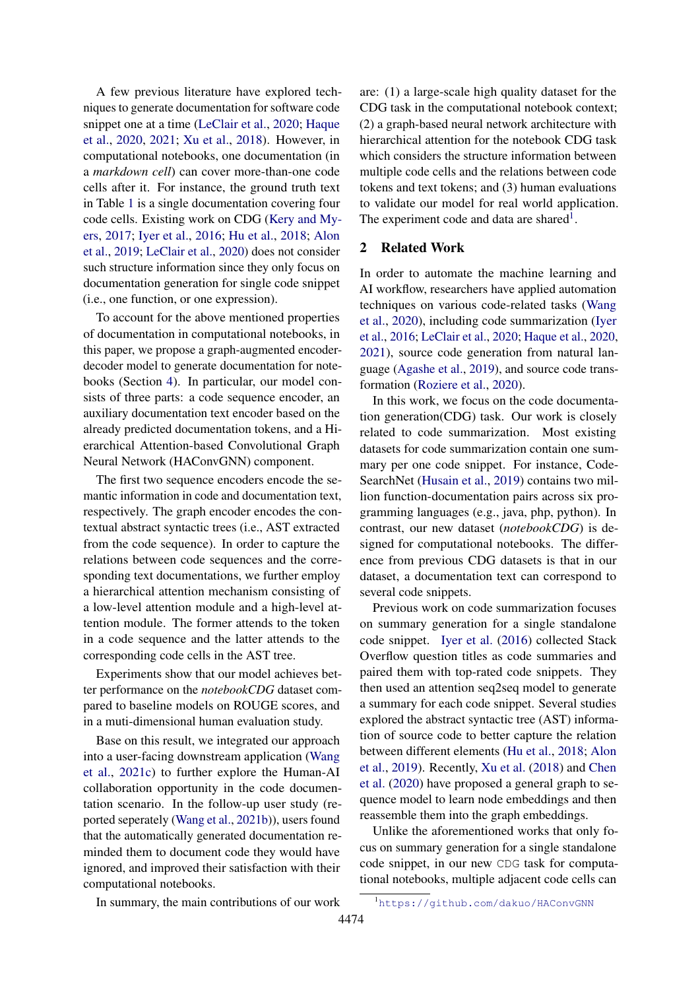A few previous literature have explored techniques to generate documentation for software code snippet one at a time [\(LeClair et al.,](#page-9-3) [2020;](#page-9-3) [Haque](#page-9-4) [et al.,](#page-9-4) [2020,](#page-9-4) [2021;](#page-9-5) [Xu et al.,](#page-10-1) [2018\)](#page-10-1). However, in computational notebooks, one documentation (in a *markdown cell*) can cover more-than-one code cells after it. For instance, the ground truth text in Table [1](#page-0-0) is a single documentation covering four code cells. Existing work on CDG [\(Kery and My](#page-9-6)[ers,](#page-9-6) [2017;](#page-9-6) [Iyer et al.,](#page-9-7) [2016;](#page-9-7) [Hu et al.,](#page-9-8) [2018;](#page-9-8) [Alon](#page-9-9) [et al.,](#page-9-9) [2019;](#page-9-9) [LeClair et al.,](#page-9-3) [2020\)](#page-9-3) does not consider such structure information since they only focus on documentation generation for single code snippet (i.e., one function, or one expression).

To account for the above mentioned properties of documentation in computational notebooks, in this paper, we propose a graph-augmented encoderdecoder model to generate documentation for notebooks (Section [4\)](#page-3-0). In particular, our model consists of three parts: a code sequence encoder, an auxiliary documentation text encoder based on the already predicted documentation tokens, and a Hierarchical Attention-based Convolutional Graph Neural Network (HAConvGNN) component.

The first two sequence encoders encode the semantic information in code and documentation text, respectively. The graph encoder encodes the contextual abstract syntactic trees (i.e., AST extracted from the code sequence). In order to capture the relations between code sequences and the corresponding text documentations, we further employ a hierarchical attention mechanism consisting of a low-level attention module and a high-level attention module. The former attends to the token in a code sequence and the latter attends to the corresponding code cells in the AST tree.

Experiments show that our model achieves better performance on the *notebookCDG* dataset compared to baseline models on ROUGE scores, and in a muti-dimensional human evaluation study.

Base on this result, we integrated our approach into a user-facing downstream application [\(Wang](#page-9-10) [et al.,](#page-9-10) [2021c\)](#page-9-10) to further explore the Human-AI collaboration opportunity in the code documentation scenario. In the follow-up user study (reported seperately [\(Wang et al.,](#page-9-11) [2021b\)](#page-9-11)), users found that the automatically generated documentation reminded them to document code they would have ignored, and improved their satisfaction with their computational notebooks.

are: (1) a large-scale high quality dataset for the CDG task in the computational notebook context; (2) a graph-based neural network architecture with hierarchical attention for the notebook CDG task which considers the structure information between multiple code cells and the relations between code tokens and text tokens; and (3) human evaluations to validate our model for real world application. The experiment code and data are shared<sup>[1](#page-1-0)</sup>.

### 2 Related Work

In order to automate the machine learning and AI workflow, researchers have applied automation techniques on various code-related tasks [\(Wang](#page-10-2) [et al.,](#page-10-2) [2020\)](#page-10-2), including code summarization [\(Iyer](#page-9-7) [et al.,](#page-9-7) [2016;](#page-9-7) [LeClair et al.,](#page-9-3) [2020;](#page-9-3) [Haque et al.,](#page-9-4) [2020,](#page-9-4) [2021\)](#page-9-5), source code generation from natural language [\(Agashe et al.,](#page-9-12) [2019\)](#page-9-12), and source code transformation [\(Roziere et al.,](#page-9-13) [2020\)](#page-9-13).

In this work, we focus on the code documentation generation(CDG) task. Our work is closely related to code summarization. Most existing datasets for code summarization contain one summary per one code snippet. For instance, Code-SearchNet [\(Husain et al.,](#page-9-14) [2019\)](#page-9-14) contains two million function-documentation pairs across six programming languages (e.g., java, php, python). In contrast, our new dataset (*notebookCDG*) is designed for computational notebooks. The difference from previous CDG datasets is that in our dataset, a documentation text can correspond to several code snippets.

Previous work on code summarization focuses on summary generation for a single standalone code snippet. [Iyer et al.](#page-9-7) [\(2016\)](#page-9-7) collected Stack Overflow question titles as code summaries and paired them with top-rated code snippets. They then used an attention seq2seq model to generate a summary for each code snippet. Several studies explored the abstract syntactic tree (AST) information of source code to better capture the relation between different elements [\(Hu et al.,](#page-9-8) [2018;](#page-9-8) [Alon](#page-9-9) [et al.,](#page-9-9) [2019\)](#page-9-9). Recently, [Xu et al.](#page-10-1) [\(2018\)](#page-10-1) and [Chen](#page-9-15) [et al.](#page-9-15) [\(2020\)](#page-9-15) have proposed a general graph to sequence model to learn node embeddings and then reassemble them into the graph embeddings.

Unlike the aforementioned works that only focus on summary generation for a single standalone code snippet, in our new CDG task for computational notebooks, multiple adjacent code cells can

In summary, the main contributions of our work

<span id="page-1-0"></span><sup>1</sup><https://github.com/dakuo/HAConvGNN>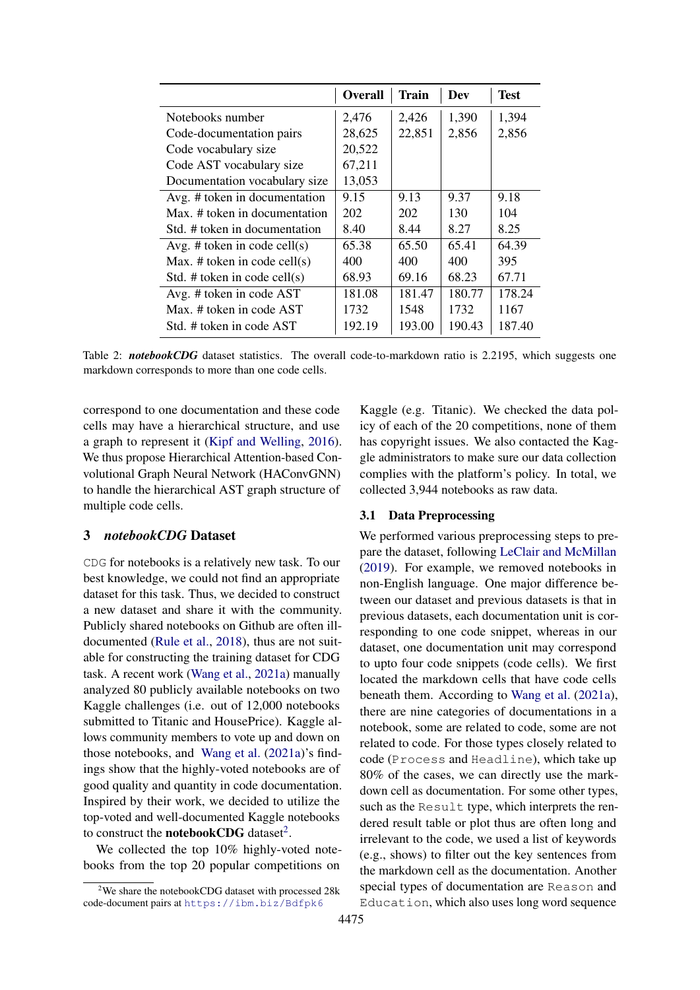<span id="page-2-2"></span>

|                                 | <b>Overall</b> | <b>Train</b> | Dev    | <b>Test</b> |
|---------------------------------|----------------|--------------|--------|-------------|
| Notebooks number                | 2,476          | 2,426        | 1,390  | 1,394       |
| Code-documentation pairs        | 28,625         | 22,851       | 2,856  | 2,856       |
| Code vocabulary size            | 20,522         |              |        |             |
| Code AST vocabulary size        | 67,211         |              |        |             |
| Documentation vocabulary size   | 13,053         |              |        |             |
| Avg. # token in documentation   | 9.15           | 9.13         | 9.37   | 9.18        |
| Max. # token in documentation   | 202            | 202          | 130    | 104         |
| Std. # token in documentation   | 8.40           | 8.44         | 8.27   | 8.25        |
| Avg. # token in code cell(s)    | 65.38          | 65.50        | 65.41  | 64.39       |
| Max. # token in code cell $(s)$ | 400            | 400          | 400    | 395         |
| Std. # token in code cell $(s)$ | 68.93          | 69.16        | 68.23  | 67.71       |
| Avg. # token in code AST        | 181.08         | 181.47       | 180.77 | 178.24      |
| Max. # token in code AST        | 1732           | 1548         | 1732   | 1167        |
| Std. # token in code AST        | 192.19         | 193.00       | 190.43 | 187.40      |

Table 2: *notebookCDG* dataset statistics. The overall code-to-markdown ratio is 2.2195, which suggests one markdown corresponds to more than one code cells.

correspond to one documentation and these code cells may have a hierarchical structure, and use a graph to represent it [\(Kipf and Welling,](#page-9-16) [2016\)](#page-9-16). We thus propose Hierarchical Attention-based Convolutional Graph Neural Network (HAConvGNN) to handle the hierarchical AST graph structure of multiple code cells.

### <span id="page-2-0"></span>3 *notebookCDG* Dataset

CDG for notebooks is a relatively new task. To our best knowledge, we could not find an appropriate dataset for this task. Thus, we decided to construct a new dataset and share it with the community. Publicly shared notebooks on Github are often illdocumented [\(Rule et al.,](#page-9-2) [2018\)](#page-9-2), thus are not suitable for constructing the training dataset for CDG task. A recent work [\(Wang et al.,](#page-9-0) [2021a\)](#page-9-0) manually analyzed 80 publicly available notebooks on two Kaggle challenges (i.e. out of 12,000 notebooks submitted to Titanic and HousePrice). Kaggle allows community members to vote up and down on those notebooks, and [Wang et al.](#page-9-0) [\(2021a\)](#page-9-0)'s findings show that the highly-voted notebooks are of good quality and quantity in code documentation. Inspired by their work, we decided to utilize the top-voted and well-documented Kaggle notebooks to construct the **notebookCDG** dataset<sup>[2](#page-2-1)</sup>.

We collected the top 10% highly-voted notebooks from the top 20 popular competitions on

Kaggle (e.g. Titanic). We checked the data policy of each of the 20 competitions, none of them has copyright issues. We also contacted the Kaggle administrators to make sure our data collection complies with the platform's policy. In total, we collected 3,944 notebooks as raw data.

#### 3.1 Data Preprocessing

We performed various preprocessing steps to prepare the dataset, following [LeClair and McMillan](#page-9-17) [\(2019\)](#page-9-17). For example, we removed notebooks in non-English language. One major difference between our dataset and previous datasets is that in previous datasets, each documentation unit is corresponding to one code snippet, whereas in our dataset, one documentation unit may correspond to upto four code snippets (code cells). We first located the markdown cells that have code cells beneath them. According to [Wang et al.](#page-9-0) [\(2021a\)](#page-9-0), there are nine categories of documentations in a notebook, some are related to code, some are not related to code. For those types closely related to code (Process and Headline), which take up 80% of the cases, we can directly use the markdown cell as documentation. For some other types, such as the Result type, which interprets the rendered result table or plot thus are often long and irrelevant to the code, we used a list of keywords (e.g., shows) to filter out the key sentences from the markdown cell as the documentation. Another special types of documentation are Reason and Education, which also uses long word sequence

<span id="page-2-1"></span> $2$ We share the notebookCDG dataset with processed 28k code-document pairs at <https://ibm.biz/Bdfpk6>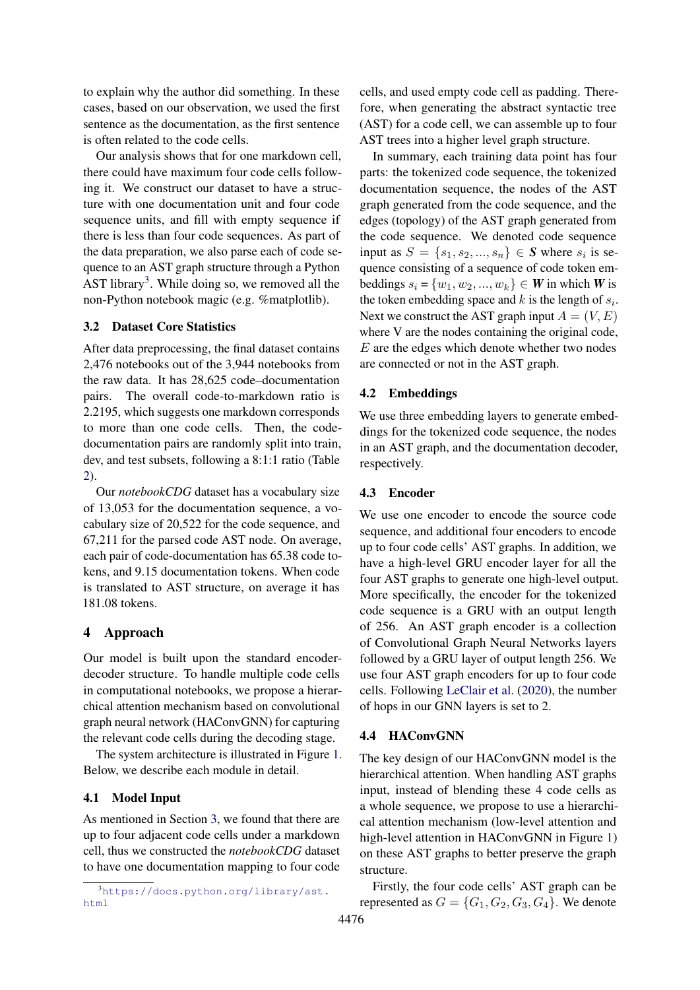to explain why the author did something. In these cases, based on our observation, we used the first sentence as the documentation, as the first sentence is often related to the code cells.

Our analysis shows that for one markdown cell, there could have maximum four code cells following it. We construct our dataset to have a structure with one documentation unit and four code sequence units, and fill with empty sequence if there is less than four code sequences. As part of the data preparation, we also parse each of code sequence to an AST graph structure through a Python AST library<sup>[3](#page-3-1)</sup>. While doing so, we removed all the non-Python notebook magic (e.g. %matplotlib).

#### 3.2 Dataset Core Statistics

After data preprocessing, the final dataset contains 2,476 notebooks out of the 3,944 notebooks from the raw data. It has 28,625 code–documentation pairs. The overall code-to-markdown ratio is 2.2195, which suggests one markdown corresponds to more than one code cells. Then, the codedocumentation pairs are randomly split into train, dev, and test subsets, following a 8:1:1 ratio (Table [2\)](#page-2-2).

Our *notebookCDG* dataset has a vocabulary size of 13,053 for the documentation sequence, a vocabulary size of 20,522 for the code sequence, and 67,211 for the parsed code AST node. On average, each pair of code-documentation has 65.38 code tokens, and 9.15 documentation tokens. When code is translated to AST structure, on average it has 181.08 tokens.

#### <span id="page-3-0"></span>4 Approach

Our model is built upon the standard encoderdecoder structure. To handle multiple code cells in computational notebooks, we propose a hierarchical attention mechanism based on convolutional graph neural network (HAConvGNN) for capturing the relevant code cells during the decoding stage.

The system architecture is illustrated in Figure [1.](#page-4-0) Below, we describe each module in detail.

#### 4.1 Model Input

As mentioned in Section [3,](#page-2-0) we found that there are up to four adjacent code cells under a markdown cell, thus we constructed the *notebookCDG* dataset to have one documentation mapping to four code

cells, and used empty code cell as padding. Therefore, when generating the abstract syntactic tree (AST) for a code cell, we can assemble up to four AST trees into a higher level graph structure.

In summary, each training data point has four parts: the tokenized code sequence, the tokenized documentation sequence, the nodes of the AST graph generated from the code sequence, and the edges (topology) of the AST graph generated from the code sequence. We denoted code sequence input as  $S = \{s_1, s_2, ..., s_n\} \in S$  where  $s_i$  is sequence consisting of a sequence of code token embeddings  $s_i$  = { $w_1, w_2, ..., w_k$ } ∈ *W* in which *W* is the token embedding space and  $k$  is the length of  $s_i$ . Next we construct the AST graph input  $A = (V, E)$ where V are the nodes containing the original code, E are the edges which denote whether two nodes are connected or not in the AST graph.

#### 4.2 Embeddings

We use three embedding layers to generate embeddings for the tokenized code sequence, the nodes in an AST graph, and the documentation decoder, respectively.

#### 4.3 Encoder

We use one encoder to encode the source code sequence, and additional four encoders to encode up to four code cells' AST graphs. In addition, we have a high-level GRU encoder layer for all the four AST graphs to generate one high-level output. More specifically, the encoder for the tokenized code sequence is a GRU with an output length of 256. An AST graph encoder is a collection of Convolutional Graph Neural Networks layers followed by a GRU layer of output length 256. We use four AST graph encoders for up to four code cells. Following [LeClair et al.](#page-9-3) [\(2020\)](#page-9-3), the number of hops in our GNN layers is set to 2.

#### 4.4 HAConvGNN

The key design of our HAConvGNN model is the hierarchical attention. When handling AST graphs input, instead of blending these 4 code cells as a whole sequence, we propose to use a hierarchical attention mechanism (low-level attention and high-level attention in HAConvGNN in Figure [1\)](#page-4-0) on these AST graphs to better preserve the graph structure.

Firstly, the four code cells' AST graph can be represented as  $G = \{G_1, G_2, G_3, G_4\}$ . We denote

<span id="page-3-1"></span> $3$ [https://docs.python.org/library/ast.](https://docs.python.org/library/ast.html) [html](https://docs.python.org/library/ast.html)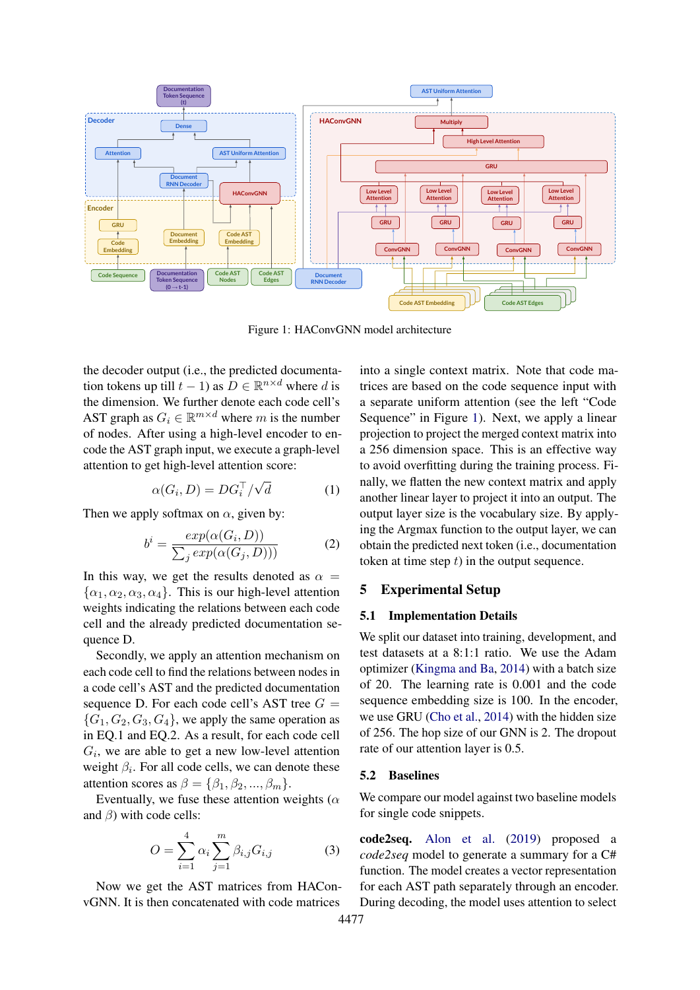<span id="page-4-0"></span>

Figure 1: HAConvGNN model architecture

the decoder output (i.e., the predicted documentation tokens up till  $t - 1$ ) as  $D \in \mathbb{R}^{n \times d}$  where d is the dimension. We further denote each code cell's AST graph as  $G_i \in \mathbb{R}^{m \times d}$  where m is the number of nodes. After using a high-level encoder to encode the AST graph input, we execute a graph-level attention to get high-level attention score:

$$
\alpha(G_i, D) = DG_i^{\top}/\sqrt{d} \tag{1}
$$

Then we apply softmax on  $\alpha$ , given by:

$$
b^{i} = \frac{exp(\alpha(G_{i}, D))}{\sum_{j} exp(\alpha(G_{j}, D)))}
$$
 (2)

In this way, we get the results denoted as  $\alpha =$  $\{\alpha_1, \alpha_2, \alpha_3, \alpha_4\}$ . This is our high-level attention weights indicating the relations between each code cell and the already predicted documentation sequence D.

Secondly, we apply an attention mechanism on each code cell to find the relations between nodes in a code cell's AST and the predicted documentation sequence D. For each code cell's AST tree  $G =$  ${G_1, G_2, G_3, G_4}$ , we apply the same operation as in EQ.1 and EQ.2. As a result, for each code cell  $G_i$ , we are able to get a new low-level attention weight  $\beta_i$ . For all code cells, we can denote these attention scores as  $\beta = {\beta_1, \beta_2, ..., \beta_m}.$ 

Eventually, we fuse these attention weights ( $\alpha$ and  $\beta$ ) with code cells:

$$
O = \sum_{i=1}^{4} \alpha_i \sum_{j=1}^{m} \beta_{i,j} G_{i,j}
$$
 (3)

Now we get the AST matrices from HAConvGNN. It is then concatenated with code matrices

into a single context matrix. Note that code matrices are based on the code sequence input with a separate uniform attention (see the left "Code Sequence" in Figure [1\)](#page-4-0). Next, we apply a linear projection to project the merged context matrix into a 256 dimension space. This is an effective way to avoid overfitting during the training process. Finally, we flatten the new context matrix and apply another linear layer to project it into an output. The output layer size is the vocabulary size. By applying the Argmax function to the output layer, we can obtain the predicted next token (i.e., documentation token at time step  $t$ ) in the output sequence.

### 5 Experimental Setup

#### 5.1 Implementation Details

We split our dataset into training, development, and test datasets at a 8:1:1 ratio. We use the Adam optimizer [\(Kingma and Ba,](#page-9-18) [2014\)](#page-9-18) with a batch size of 20. The learning rate is 0.001 and the code sequence embedding size is 100. In the encoder, we use GRU [\(Cho et al.,](#page-9-19) [2014\)](#page-9-19) with the hidden size of 256. The hop size of our GNN is 2. The dropout rate of our attention layer is 0.5.

#### 5.2 Baselines

We compare our model against two baseline models for single code snippets.

code2seq. [Alon et al.](#page-9-9) [\(2019\)](#page-9-9) proposed a *code2seq* model to generate a summary for a C# function. The model creates a vector representation for each AST path separately through an encoder. During decoding, the model uses attention to select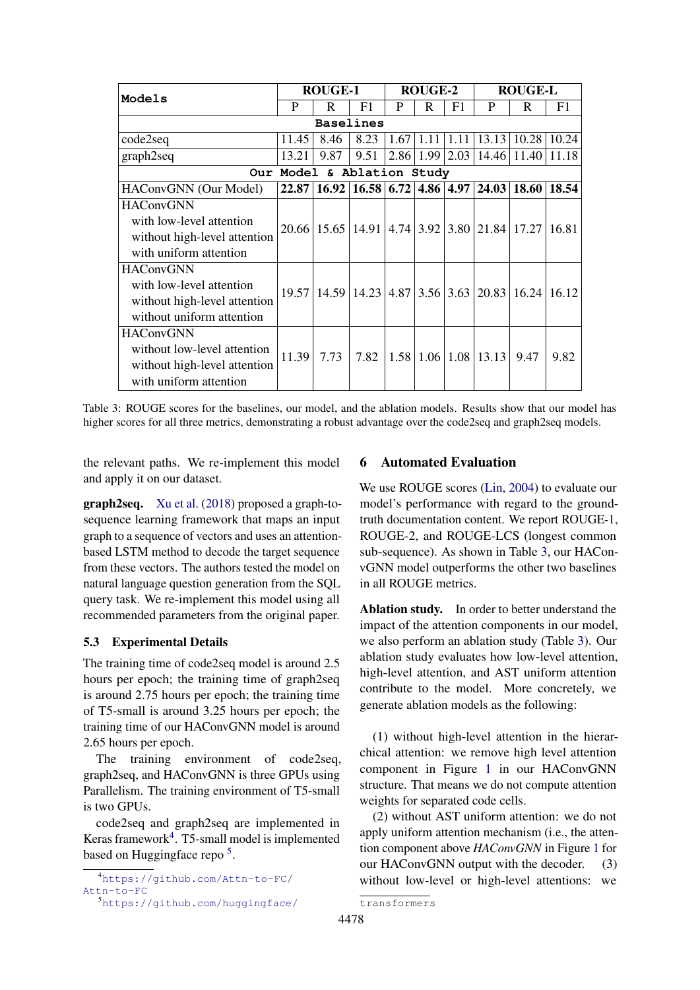<span id="page-5-2"></span>

| Models                       | <b>ROUGE-1</b>   |      | <b>ROUGE-2</b>                                        |      |                | <b>ROUGE-L</b> |                                       |                                                              |       |
|------------------------------|------------------|------|-------------------------------------------------------|------|----------------|----------------|---------------------------------------|--------------------------------------------------------------|-------|
|                              | P                | R    | F1                                                    | P    | R              | F <sub>1</sub> | P                                     | R                                                            | F1    |
|                              | <b>Baselines</b> |      |                                                       |      |                |                |                                       |                                                              |       |
| code2seq                     | 11.45            | 8.46 | 8.23                                                  | 1.67 | 1.11           | 1.11           | 13.13                                 | 10.28                                                        | 10.24 |
| graph2seq                    | 13.21            | 9.87 | 9.51                                                  |      | 2.86 1.99 2.03 |                | 14.46                                 | 11.40                                                        | 11.18 |
| Our Model & Ablation Study   |                  |      |                                                       |      |                |                |                                       |                                                              |       |
| HAConvGNN (Our Model)        | 22.87            |      | $16.92 \mid 16.58 \mid 6.72 \mid 4.86 \mid 4.97 \mid$ |      |                |                | 24.03                                 | 18.60                                                        | 18.54 |
| <b>HAConvGNN</b>             |                  |      |                                                       |      |                |                |                                       |                                                              |       |
| with low-level attention     | 20.66            |      | $15.65 \mid 14.91$                                    |      |                |                |                                       | 4.74 3.92 3.80 21.84 17.27 16.81                             |       |
| without high-level attention |                  |      |                                                       |      |                |                |                                       |                                                              |       |
| with uniform attention       |                  |      |                                                       |      |                |                |                                       |                                                              |       |
| <b>HAConvGNN</b>             |                  |      |                                                       |      |                |                |                                       |                                                              |       |
| with low-level attention     | 19.57            |      |                                                       |      |                |                |                                       | $14.59$   14.23   4.87   3.56   3.63   20.83   16.24   16.12 |       |
| without high-level attention |                  |      |                                                       |      |                |                |                                       |                                                              |       |
| without uniform attention    |                  |      |                                                       |      |                |                |                                       |                                                              |       |
| <b>HAConvGNN</b>             |                  |      |                                                       |      |                |                |                                       |                                                              |       |
| without low-level attention  | 11.39            | 7.73 | 7.82                                                  |      |                |                | $1.58 \mid 1.06 \mid 1.08 \mid 13.13$ | 9.47                                                         | 9.82  |
| without high-level attention |                  |      |                                                       |      |                |                |                                       |                                                              |       |
| with uniform attention       |                  |      |                                                       |      |                |                |                                       |                                                              |       |

Table 3: ROUGE scores for the baselines, our model, and the ablation models. Results show that our model has higher scores for all three metrics, demonstrating a robust advantage over the code2seq and graph2seq models.

the relevant paths. We re-implement this model and apply it on our dataset.

graph2seq. [Xu et al.](#page-10-1) [\(2018\)](#page-10-1) proposed a graph-tosequence learning framework that maps an input graph to a sequence of vectors and uses an attentionbased LSTM method to decode the target sequence from these vectors. The authors tested the model on natural language question generation from the SQL query task. We re-implement this model using all recommended parameters from the original paper.

### 5.3 Experimental Details

The training time of code2seq model is around 2.5 hours per epoch; the training time of graph2seq is around 2.75 hours per epoch; the training time of T5-small is around 3.25 hours per epoch; the training time of our HAConvGNN model is around 2.65 hours per epoch.

The training environment of code2seq, graph2seq, and HAConvGNN is three GPUs using Parallelism. The training environment of T5-small is two GPUs.

code2seq and graph2seq are implemented in Keras framework<sup>[4](#page-5-0)</sup>. T5-small model is implemented based on Huggingface repo<sup>[5](#page-5-1)</sup>.

### [6 Automated Evaluation](https://github.com/huggingface/transformers)

[We use ROUGE scores \(Lin,](https://github.com/huggingface/transformers) [2004\)](#page-9-20) to evaluate our [model's performance with regard to the ground](https://github.com/huggingface/transformers)[truth documentation content. We report ROUGE-1,](https://github.com/huggingface/transformers) [ROUGE-2, and ROUGE-LCS \(longest common](https://github.com/huggingface/transformers) [sub-sequence\). As shown in Table](https://github.com/huggingface/transformers) [3,](#page-5-2) our HACon[vGNN model outperforms the other two baselines](https://github.com/huggingface/transformers) [in all ROUGE metrics.](https://github.com/huggingface/transformers)

Ablation study. [In order to better understand the](https://github.com/huggingface/transformers) [impact of the attention components in our model,](https://github.com/huggingface/transformers) [we also perform an ablation study \(Table](https://github.com/huggingface/transformers) [3\)](#page-5-2). Our [ablation study evaluates how low-level attention,](https://github.com/huggingface/transformers) [high-level attention, and AST uniform attention](https://github.com/huggingface/transformers) [contribute to the model. More concretely, we](https://github.com/huggingface/transformers) [generate ablation models as the following:](https://github.com/huggingface/transformers)

[\(1\) without high-level attention in the hierar](https://github.com/huggingface/transformers)[chical attention: we remove high level attention](https://github.com/huggingface/transformers) [component in Figure](https://github.com/huggingface/transformers) [1](#page-4-0) in our HAConvGNN [structure. That means we do not compute attention](https://github.com/huggingface/transformers) [weights for separated code cells.](https://github.com/huggingface/transformers)

[\(2\) without AST uniform attention: we do not](https://github.com/huggingface/transformers) [apply uniform attention mechanism \(i.e., the atten](https://github.com/huggingface/transformers)[tion component above](https://github.com/huggingface/transformers) *HAConvGNN* in Figure [1](#page-4-0) for [our HAConvGNN output with the decoder. \(3\)](https://github.com/huggingface/transformers) [without low-level or high-level attentions: we](https://github.com/huggingface/transformers)

<span id="page-5-0"></span><sup>4</sup>[https://github.com/Attn-to-FC/](https://github.com/Attn-to-FC/Attn-to-FC) [Attn-to-FC](https://github.com/Attn-to-FC/Attn-to-FC)

<span id="page-5-1"></span><sup>5</sup>[https://github.com/huggingface/](https://github.com/huggingface/transformers)

[transformers](https://github.com/huggingface/transformers)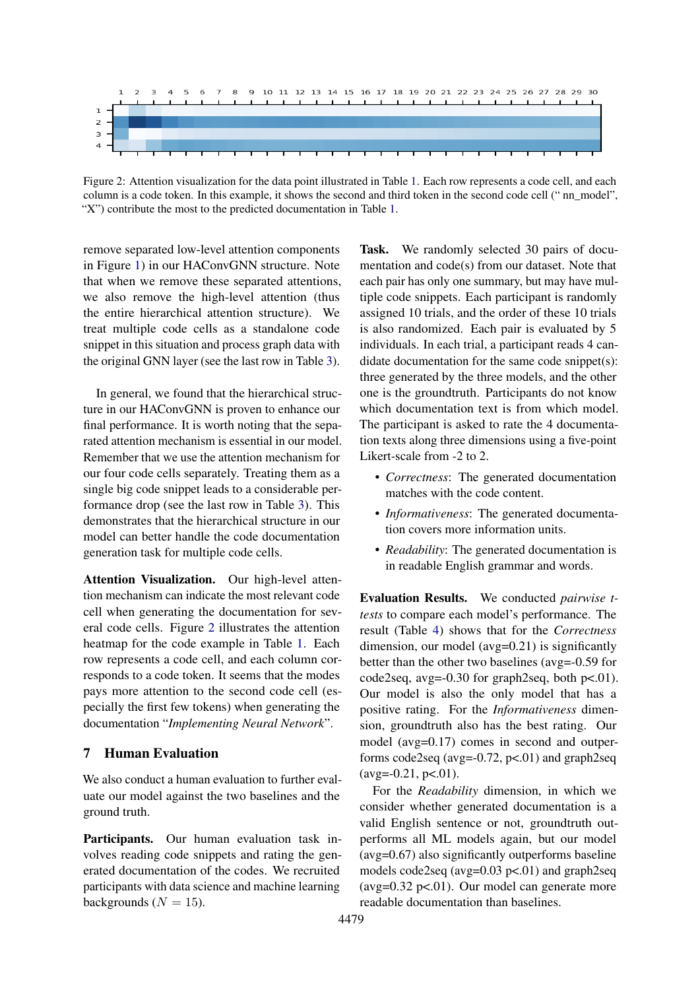<span id="page-6-0"></span>

Figure 2: Attention visualization for the data point illustrated in Table [1.](#page-0-0) Each row represents a code cell, and each column is a code token. In this example, it shows the second and third token in the second code cell (" nn\_model", "X") contribute the most to the predicted documentation in Table [1.](#page-0-0)

remove separated low-level attention components in Figure [1\)](#page-4-0) in our HAConvGNN structure. Note that when we remove these separated attentions, we also remove the high-level attention (thus the entire hierarchical attention structure). We treat multiple code cells as a standalone code snippet in this situation and process graph data with the original GNN layer (see the last row in Table [3\)](#page-5-2).

In general, we found that the hierarchical structure in our HAConvGNN is proven to enhance our final performance. It is worth noting that the separated attention mechanism is essential in our model. Remember that we use the attention mechanism for our four code cells separately. Treating them as a single big code snippet leads to a considerable performance drop (see the last row in Table [3\)](#page-5-2). This demonstrates that the hierarchical structure in our model can better handle the code documentation generation task for multiple code cells.

Attention Visualization. Our high-level attention mechanism can indicate the most relevant code cell when generating the documentation for several code cells. Figure [2](#page-6-0) illustrates the attention heatmap for the code example in Table [1.](#page-0-0) Each row represents a code cell, and each column corresponds to a code token. It seems that the modes pays more attention to the second code cell (especially the first few tokens) when generating the documentation "*Implementing Neural Network*".

### 7 Human Evaluation

We also conduct a human evaluation to further evaluate our model against the two baselines and the ground truth.

Participants. Our human evaluation task involves reading code snippets and rating the generated documentation of the codes. We recruited participants with data science and machine learning backgrounds ( $N = 15$ ).

Task. We randomly selected 30 pairs of documentation and code(s) from our dataset. Note that each pair has only one summary, but may have multiple code snippets. Each participant is randomly assigned 10 trials, and the order of these 10 trials is also randomized. Each pair is evaluated by 5 individuals. In each trial, a participant reads 4 candidate documentation for the same code snippet(s): three generated by the three models, and the other one is the groundtruth. Participants do not know which documentation text is from which model. The participant is asked to rate the 4 documentation texts along three dimensions using a five-point Likert-scale from -2 to 2.

- *Correctness*: The generated documentation matches with the code content.
- *Informativeness*: The generated documentation covers more information units.
- *Readability*: The generated documentation is in readable English grammar and words.

Evaluation Results. We conducted *pairwise ttests* to compare each model's performance. The result (Table [4\)](#page-7-0) shows that for the *Correctness* dimension, our model (avg=0.21) is significantly better than the other two baselines (avg=-0.59 for code2seq, avg= $-0.30$  for graph2seq, both p<.01). Our model is also the only model that has a positive rating. For the *Informativeness* dimension, groundtruth also has the best rating. Our model (avg=0.17) comes in second and outperforms code2seq (avg= $-0.72$ , p<.01) and graph2seq  $(\text{avg}=-0.21, \text{p}<-0.01).$ 

For the *Readability* dimension, in which we consider whether generated documentation is a valid English sentence or not, groundtruth outperforms all ML models again, but our model (avg=0.67) also significantly outperforms baseline models code2seq (avg= $0.03$  p< $0.01$ ) and graph2seq (avg= $0.32$  p< $.01$ ). Our model can generate more readable documentation than baselines.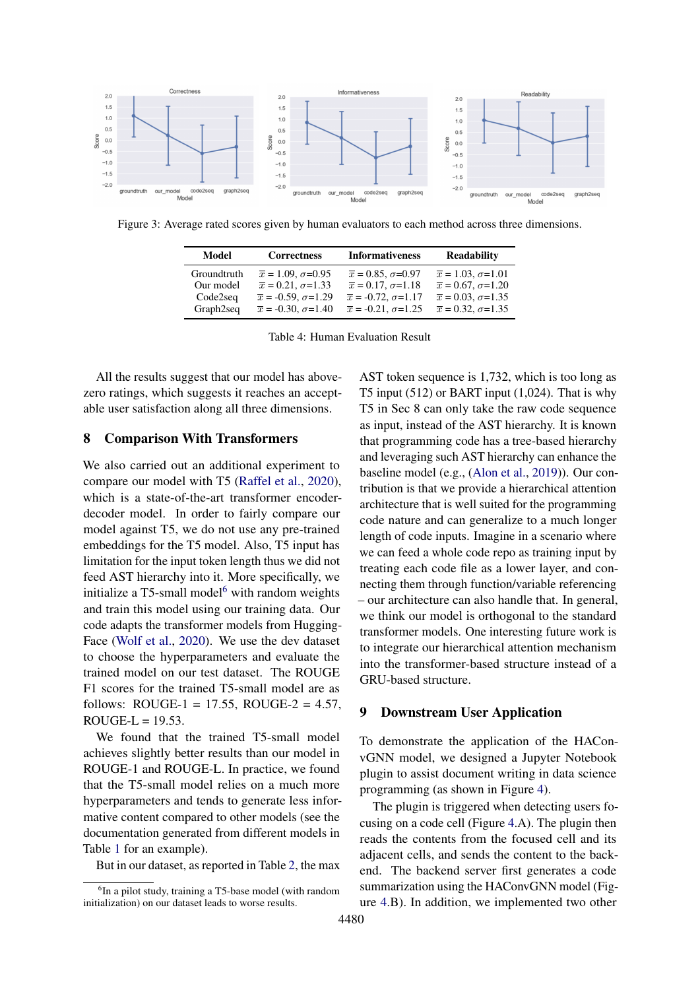

<span id="page-7-0"></span>Figure 3: Average rated scores given by human evaluators to each method across three dimensions.

| Model       | <b>Correctness</b>               | <b>Informativeness</b>           | <b>Readability</b>              |
|-------------|----------------------------------|----------------------------------|---------------------------------|
| Groundtruth | $\bar{x} = 1.09, \sigma = 0.95$  | $\bar{x} = 0.85, \sigma = 0.97$  | $\bar{x} = 1.03, \sigma = 1.01$ |
| Our model   | $\bar{x} = 0.21, \sigma = 1.33$  | $\bar{x} = 0.17, \sigma = 1.18$  | $\bar{x} = 0.67, \sigma = 1.20$ |
| Code2seq    | $\bar{x} = -0.59, \sigma = 1.29$ | $\bar{x} = -0.72, \sigma = 1.17$ | $\bar{x} = 0.03, \sigma = 1.35$ |
| Graph2seq   | $\bar{x} = -0.30, \sigma = 1.40$ | $\bar{x} = -0.21, \sigma = 1.25$ | $\bar{x} = 0.32, \sigma = 1.35$ |

Table 4: Human Evaluation Result

All the results suggest that our model has abovezero ratings, which suggests it reaches an acceptable user satisfaction along all three dimensions.

#### 8 Comparison With Transformers

We also carried out an additional experiment to compare our model with T5 [\(Raffel et al.,](#page-9-21) [2020\)](#page-9-21), which is a state-of-the-art transformer encoderdecoder model. In order to fairly compare our model against T5, we do not use any pre-trained embeddings for the T5 model. Also, T5 input has limitation for the input token length thus we did not feed AST hierarchy into it. More specifically, we initialize a  $T5$ -small model<sup>[6](#page-7-1)</sup> with random weights and train this model using our training data. Our code adapts the transformer models from Hugging-Face [\(Wolf et al.,](#page-10-3) [2020\)](#page-10-3). We use the dev dataset to choose the hyperparameters and evaluate the trained model on our test dataset. The ROUGE F1 scores for the trained T5-small model are as follows: ROUGE-1 = 17.55, ROUGE-2 = 4.57,  $ROUGE-L = 19.53$ .

We found that the trained T5-small model achieves slightly better results than our model in ROUGE-1 and ROUGE-L. In practice, we found that the T5-small model relies on a much more hyperparameters and tends to generate less informative content compared to other models (see the documentation generated from different models in Table [1](#page-0-0) for an example).

But in our dataset, as reported in Table [2,](#page-2-2) the max

AST token sequence is 1,732, which is too long as T5 input  $(512)$  or BART input  $(1,024)$ . That is why T5 in Sec 8 can only take the raw code sequence as input, instead of the AST hierarchy. It is known that programming code has a tree-based hierarchy and leveraging such AST hierarchy can enhance the baseline model (e.g., [\(Alon et al.,](#page-9-9) [2019\)](#page-9-9)). Our contribution is that we provide a hierarchical attention architecture that is well suited for the programming code nature and can generalize to a much longer length of code inputs. Imagine in a scenario where we can feed a whole code repo as training input by treating each code file as a lower layer, and connecting them through function/variable referencing – our architecture can also handle that. In general, we think our model is orthogonal to the standard transformer models. One interesting future work is to integrate our hierarchical attention mechanism into the transformer-based structure instead of a GRU-based structure.

### 9 Downstream User Application

To demonstrate the application of the HAConvGNN model, we designed a Jupyter Notebook plugin to assist document writing in data science programming (as shown in Figure [4\)](#page-8-0).

The plugin is triggered when detecting users focusing on a code cell (Figure [4.](#page-8-0)A). The plugin then reads the contents from the focused cell and its adjacent cells, and sends the content to the backend. The backend server first generates a code summarization using the HAConvGNN model (Figure [4.](#page-8-0)B). In addition, we implemented two other

<span id="page-7-1"></span><sup>6</sup> In a pilot study, training a T5-base model (with random initialization) on our dataset leads to worse results.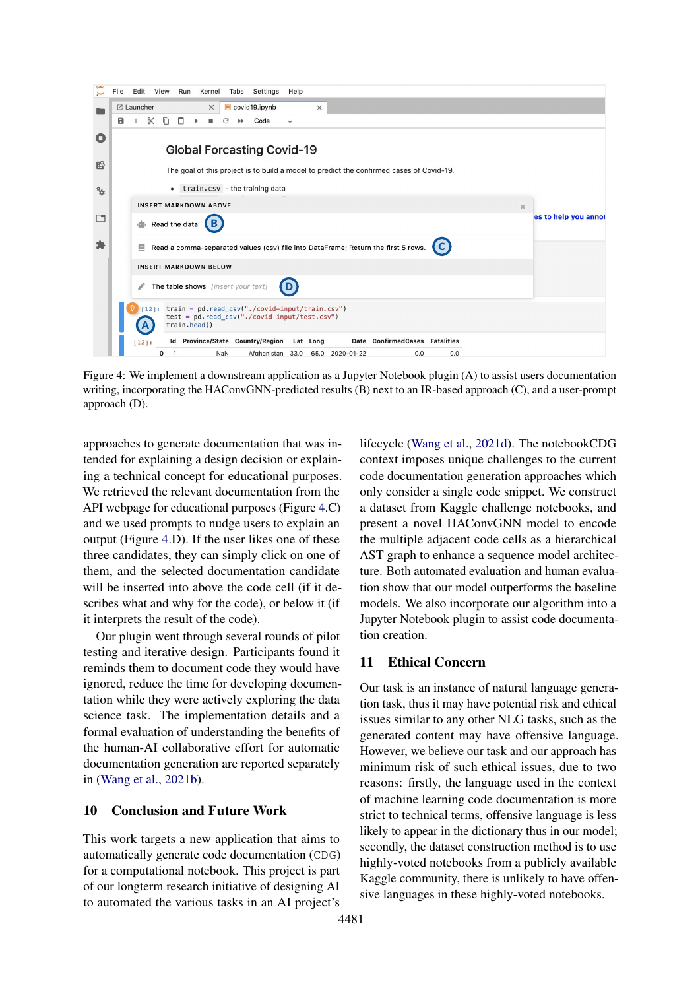<span id="page-8-0"></span>

Figure 4: We implement a downstream application as a Jupyter Notebook plugin (A) to assist users documentation writing, incorporating the HAConvGNN-predicted results (B) next to an IR-based approach (C), and a user-prompt approach (D).

approaches to generate documentation that was intended for explaining a design decision or explaining a technical concept for educational purposes. We retrieved the relevant documentation from the API webpage for educational purposes (Figure [4.](#page-8-0)C) and we used prompts to nudge users to explain an output (Figure [4.](#page-8-0)D). If the user likes one of these three candidates, they can simply click on one of them, and the selected documentation candidate will be inserted into above the code cell (if it describes what and why for the code), or below it (if it interprets the result of the code).

Our plugin went through several rounds of pilot testing and iterative design. Participants found it reminds them to document code they would have ignored, reduce the time for developing documentation while they were actively exploring the data science task. The implementation details and a formal evaluation of understanding the benefits of the human-AI collaborative effort for automatic documentation generation are reported separately in [\(Wang et al.,](#page-9-11) [2021b\)](#page-9-11).

#### 10 Conclusion and Future Work

This work targets a new application that aims to automatically generate code documentation (CDG) for a computational notebook. This project is part of our longterm research initiative of designing AI to automated the various tasks in an AI project's lifecycle [\(Wang et al.,](#page-10-4) [2021d\)](#page-10-4). The notebookCDG context imposes unique challenges to the current code documentation generation approaches which only consider a single code snippet. We construct a dataset from Kaggle challenge notebooks, and present a novel HAConvGNN model to encode the multiple adjacent code cells as a hierarchical AST graph to enhance a sequence model architecture. Both automated evaluation and human evaluation show that our model outperforms the baseline models. We also incorporate our algorithm into a Jupyter Notebook plugin to assist code documentation creation.

### 11 Ethical Concern

Our task is an instance of natural language generation task, thus it may have potential risk and ethical issues similar to any other NLG tasks, such as the generated content may have offensive language. However, we believe our task and our approach has minimum risk of such ethical issues, due to two reasons: firstly, the language used in the context of machine learning code documentation is more strict to technical terms, offensive language is less likely to appear in the dictionary thus in our model: secondly, the dataset construction method is to use highly-voted notebooks from a publicly available Kaggle community, there is unlikely to have offensive languages in these highly-voted notebooks.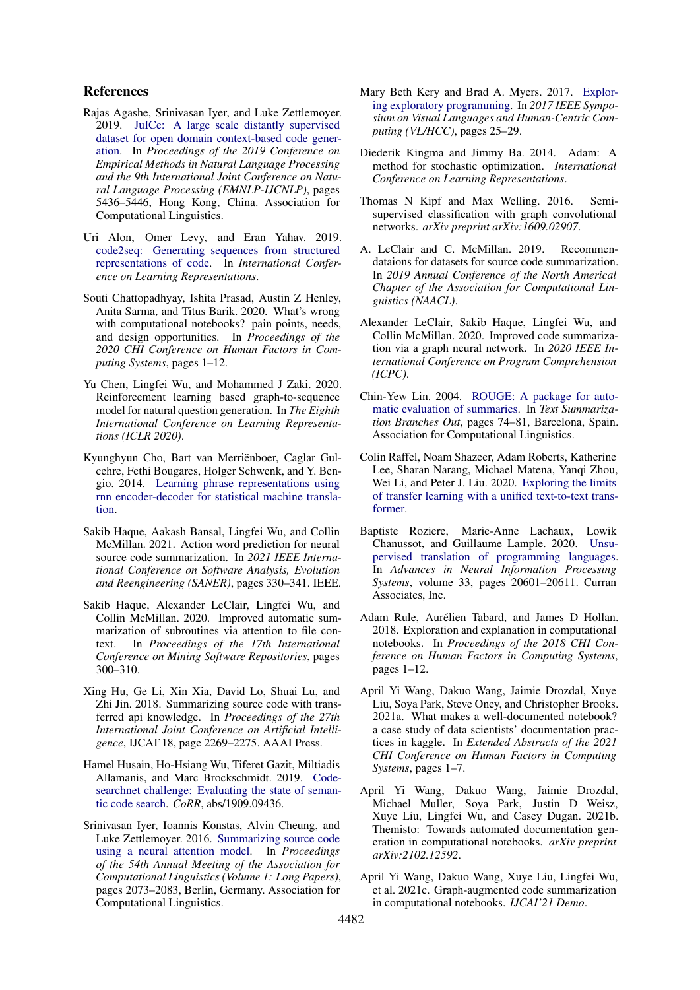#### References

- <span id="page-9-12"></span>Rajas Agashe, Srinivasan Iyer, and Luke Zettlemoyer. 2019. [JuICe: A large scale distantly supervised](https://doi.org/10.18653/v1/D19-1546) [dataset for open domain context-based code gener](https://doi.org/10.18653/v1/D19-1546)[ation.](https://doi.org/10.18653/v1/D19-1546) In *Proceedings of the 2019 Conference on Empirical Methods in Natural Language Processing and the 9th International Joint Conference on Natural Language Processing (EMNLP-IJCNLP)*, pages 5436–5446, Hong Kong, China. Association for Computational Linguistics.
- <span id="page-9-9"></span>Uri Alon, Omer Levy, and Eran Yahav. 2019. [code2seq: Generating sequences from structured](https://openreview.net/forum?id=H1gKYo09tX) [representations of code.](https://openreview.net/forum?id=H1gKYo09tX) In *International Conference on Learning Representations*.
- <span id="page-9-1"></span>Souti Chattopadhyay, Ishita Prasad, Austin Z Henley, Anita Sarma, and Titus Barik. 2020. What's wrong with computational notebooks? pain points, needs, and design opportunities. In *Proceedings of the 2020 CHI Conference on Human Factors in Computing Systems*, pages 1–12.
- <span id="page-9-15"></span>Yu Chen, Lingfei Wu, and Mohammed J Zaki. 2020. Reinforcement learning based graph-to-sequence model for natural question generation. In *The Eighth International Conference on Learning Representations (ICLR 2020)*.
- <span id="page-9-19"></span>Kyunghyun Cho, Bart van Merriënboer, Caglar Gulcehre, Fethi Bougares, Holger Schwenk, and Y. Bengio. 2014. [Learning phrase representations using](https://doi.org/10.3115/v1/D14-1179) [rnn encoder-decoder for statistical machine transla](https://doi.org/10.3115/v1/D14-1179)[tion.](https://doi.org/10.3115/v1/D14-1179)
- <span id="page-9-5"></span>Sakib Haque, Aakash Bansal, Lingfei Wu, and Collin McMillan. 2021. Action word prediction for neural source code summarization. In *2021 IEEE International Conference on Software Analysis, Evolution and Reengineering (SANER)*, pages 330–341. IEEE.
- <span id="page-9-4"></span>Sakib Haque, Alexander LeClair, Lingfei Wu, and Collin McMillan. 2020. Improved automatic summarization of subroutines via attention to file context. In *Proceedings of the 17th International Conference on Mining Software Repositories*, pages 300–310.
- <span id="page-9-8"></span>Xing Hu, Ge Li, Xin Xia, David Lo, Shuai Lu, and Zhi Jin. 2018. Summarizing source code with transferred api knowledge. In *Proceedings of the 27th International Joint Conference on Artificial Intelligence*, IJCAI'18, page 2269–2275. AAAI Press.
- <span id="page-9-14"></span>Hamel Husain, Ho-Hsiang Wu, Tiferet Gazit, Miltiadis Allamanis, and Marc Brockschmidt. 2019. [Code](http://arxiv.org/abs/1909.09436)[searchnet challenge: Evaluating the state of seman](http://arxiv.org/abs/1909.09436)[tic code search.](http://arxiv.org/abs/1909.09436) *CoRR*, abs/1909.09436.
- <span id="page-9-7"></span>Srinivasan Iyer, Ioannis Konstas, Alvin Cheung, and Luke Zettlemoyer. 2016. [Summarizing source code](https://doi.org/10.18653/v1/P16-1195) [using a neural attention model.](https://doi.org/10.18653/v1/P16-1195) In *Proceedings of the 54th Annual Meeting of the Association for Computational Linguistics (Volume 1: Long Papers)*, pages 2073–2083, Berlin, Germany. Association for Computational Linguistics.
- <span id="page-9-6"></span>Mary Beth Kery and Brad A. Myers. 2017. [Explor](https://doi.org/10.1109/VLHCC.2017.8103446)[ing exploratory programming.](https://doi.org/10.1109/VLHCC.2017.8103446) In *2017 IEEE Symposium on Visual Languages and Human-Centric Computing (VL/HCC)*, pages 25–29.
- <span id="page-9-18"></span>Diederik Kingma and Jimmy Ba. 2014. Adam: A method for stochastic optimization. *International Conference on Learning Representations*.
- <span id="page-9-16"></span>Thomas N Kipf and Max Welling. 2016. Semisupervised classification with graph convolutional networks. *arXiv preprint arXiv:1609.02907*.
- <span id="page-9-17"></span>A. LeClair and C. McMillan. 2019. Recommendataions for datasets for source code summarization. In *2019 Annual Conference of the North Americal Chapter of the Association for Computational Linguistics (NAACL)*.
- <span id="page-9-3"></span>Alexander LeClair, Sakib Haque, Lingfei Wu, and Collin McMillan. 2020. Improved code summarization via a graph neural network. In *2020 IEEE International Conference on Program Comprehension (ICPC)*.
- <span id="page-9-20"></span>Chin-Yew Lin. 2004. [ROUGE: A package for auto](https://www.aclweb.org/anthology/W04-1013)[matic evaluation of summaries.](https://www.aclweb.org/anthology/W04-1013) In *Text Summarization Branches Out*, pages 74–81, Barcelona, Spain. Association for Computational Linguistics.
- <span id="page-9-21"></span>Colin Raffel, Noam Shazeer, Adam Roberts, Katherine Lee, Sharan Narang, Michael Matena, Yanqi Zhou, Wei Li, and Peter J. Liu. 2020. [Exploring the limits](http://arxiv.org/abs/1910.10683) [of transfer learning with a unified text-to-text trans](http://arxiv.org/abs/1910.10683)[former.](http://arxiv.org/abs/1910.10683)
- <span id="page-9-13"></span>Baptiste Roziere, Marie-Anne Lachaux, Lowik Chanussot, and Guillaume Lample. 2020. [Unsu](https://proceedings.neurips.cc/paper/2020/file/ed23fbf18c2cd35f8c7f8de44f85c08d-Paper.pdf)[pervised translation of programming languages.](https://proceedings.neurips.cc/paper/2020/file/ed23fbf18c2cd35f8c7f8de44f85c08d-Paper.pdf) In *Advances in Neural Information Processing Systems*, volume 33, pages 20601–20611. Curran Associates, Inc.
- <span id="page-9-2"></span>Adam Rule, Aurélien Tabard, and James D Hollan. 2018. Exploration and explanation in computational notebooks. In *Proceedings of the 2018 CHI Conference on Human Factors in Computing Systems*, pages 1–12.
- <span id="page-9-0"></span>April Yi Wang, Dakuo Wang, Jaimie Drozdal, Xuye Liu, Soya Park, Steve Oney, and Christopher Brooks. 2021a. What makes a well-documented notebook? a case study of data scientists' documentation practices in kaggle. In *Extended Abstracts of the 2021 CHI Conference on Human Factors in Computing Systems*, pages 1–7.
- <span id="page-9-11"></span>April Yi Wang, Dakuo Wang, Jaimie Drozdal, Michael Muller, Soya Park, Justin D Weisz, Xuye Liu, Lingfei Wu, and Casey Dugan. 2021b. Themisto: Towards automated documentation generation in computational notebooks. *arXiv preprint arXiv:2102.12592*.
- <span id="page-9-10"></span>April Yi Wang, Dakuo Wang, Xuye Liu, Lingfei Wu, et al. 2021c. Graph-augmented code summarization in computational notebooks. *IJCAI'21 Demo*.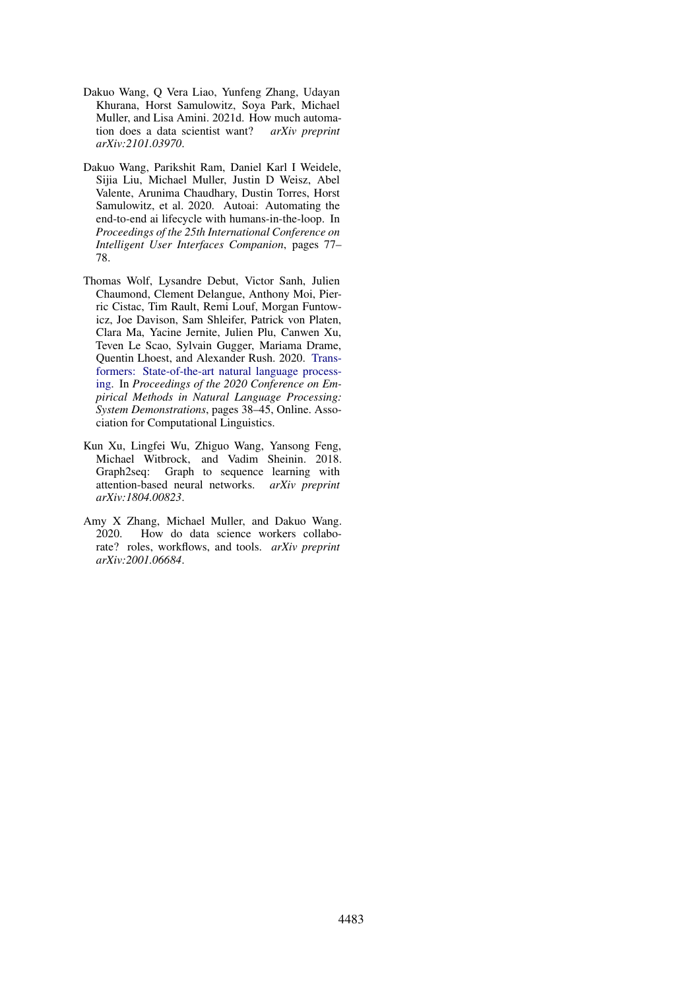- <span id="page-10-4"></span>Dakuo Wang, Q Vera Liao, Yunfeng Zhang, Udayan Khurana, Horst Samulowitz, Soya Park, Michael Muller, and Lisa Amini. 2021d. How much automation does a data scientist want? *arXiv preprint arXiv:2101.03970*.
- <span id="page-10-2"></span>Dakuo Wang, Parikshit Ram, Daniel Karl I Weidele, Sijia Liu, Michael Muller, Justin D Weisz, Abel Valente, Arunima Chaudhary, Dustin Torres, Horst Samulowitz, et al. 2020. Autoai: Automating the end-to-end ai lifecycle with humans-in-the-loop. In *Proceedings of the 25th International Conference on Intelligent User Interfaces Companion*, pages 77– 78.
- <span id="page-10-3"></span>Thomas Wolf, Lysandre Debut, Victor Sanh, Julien Chaumond, Clement Delangue, Anthony Moi, Pierric Cistac, Tim Rault, Remi Louf, Morgan Funtowicz, Joe Davison, Sam Shleifer, Patrick von Platen, Clara Ma, Yacine Jernite, Julien Plu, Canwen Xu, Teven Le Scao, Sylvain Gugger, Mariama Drame, Quentin Lhoest, and Alexander Rush. 2020. [Trans](https://doi.org/10.18653/v1/2020.emnlp-demos.6)[formers: State-of-the-art natural language process](https://doi.org/10.18653/v1/2020.emnlp-demos.6)[ing.](https://doi.org/10.18653/v1/2020.emnlp-demos.6) In *Proceedings of the 2020 Conference on Empirical Methods in Natural Language Processing: System Demonstrations*, pages 38–45, Online. Association for Computational Linguistics.
- <span id="page-10-1"></span>Kun Xu, Lingfei Wu, Zhiguo Wang, Yansong Feng, Michael Witbrock, and Vadim Sheinin. 2018. Graph2seq: Graph to sequence learning with attention-based neural networks. *arXiv preprint arXiv:1804.00823*.
- <span id="page-10-0"></span>Amy X Zhang, Michael Muller, and Dakuo Wang. 2020. How do data science workers collaborate? roles, workflows, and tools. *arXiv preprint arXiv:2001.06684*.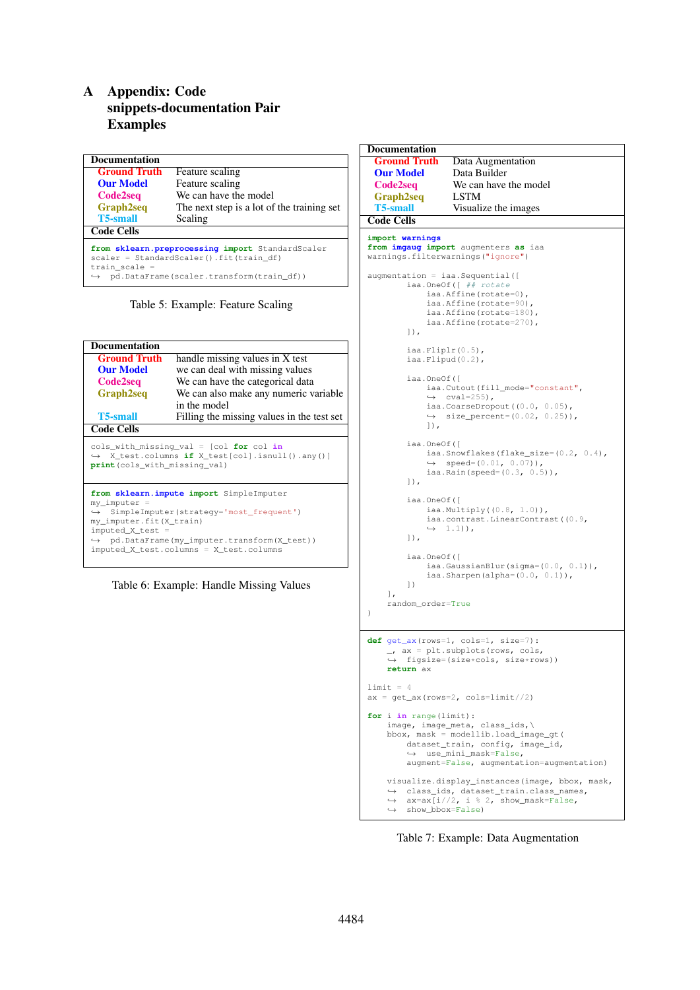## A Appendix: Code snippets-documentation Pair Examples

| <b>Documentation</b>                                                                                                                                                          |                                            |  |
|-------------------------------------------------------------------------------------------------------------------------------------------------------------------------------|--------------------------------------------|--|
| <b>Ground Truth</b>                                                                                                                                                           | Feature scaling                            |  |
| <b>Our Model</b>                                                                                                                                                              | Feature scaling                            |  |
| Code2seq                                                                                                                                                                      | We can have the model                      |  |
| <b>Graph2seq</b>                                                                                                                                                              | The next step is a lot of the training set |  |
| <b>T5-small</b>                                                                                                                                                               | Scaling                                    |  |
| <b>Code Cells</b>                                                                                                                                                             |                                            |  |
| from sklearn.preprocessing import StandardScaler<br>scaler = StandardScaler().fit(train df)<br>train scale =<br>pd.DataFrame(scaler.transform(train df))<br>$\hookrightarrow$ |                                            |  |

Table 5: Example: Feature Scaling

| <b>Documentation</b>                                                                                                                    |                                                                                                                                                                                             |  |  |
|-----------------------------------------------------------------------------------------------------------------------------------------|---------------------------------------------------------------------------------------------------------------------------------------------------------------------------------------------|--|--|
| <b>Ground Truth</b>                                                                                                                     | handle missing values in X test                                                                                                                                                             |  |  |
| <b>Our Model</b>                                                                                                                        | we can deal with missing values                                                                                                                                                             |  |  |
| Code2seq                                                                                                                                | We can have the categorical data                                                                                                                                                            |  |  |
| <b>Graph2seq</b>                                                                                                                        | We can also make any numeric variable                                                                                                                                                       |  |  |
|                                                                                                                                         | in the model                                                                                                                                                                                |  |  |
| <b>T5-small</b>                                                                                                                         | Filling the missing values in the test set                                                                                                                                                  |  |  |
| <b>Code Cells</b>                                                                                                                       |                                                                                                                                                                                             |  |  |
| cols_with_missing_val = [col for col in<br>$\rightarrow$ X_test.columns if X_test[col].isnull().any()]<br>print (cols_with_missing_val) |                                                                                                                                                                                             |  |  |
| $my\_imputer =$<br>$\hookrightarrow$<br>my_imputer.fit(X_train)<br>imputed_X_test =                                                     | from sklearn. impute import SimpleImputer<br>SimpleImputer(strateqy='most_frequent')<br>$\rightarrow$ pd.DataFrame(my_imputer.transform(X_test))<br>imputed_X_test.columns = X_test.columns |  |  |



```
Documentation<br>Ground Truth
 Ground Truth Data Augmentation<br>
Our Model Data Builder
  Our Model Data Builder<br>
Code2seq We can have
                      We can have the model
 Graph2seq LSTM<br>T5-small Visuali
                      Visualize the images
Code Cells
import warnings
from imgaug import augmenters as iaa
warnings.filterwarnings("ignore")
augmentation = iaa.Sequential([
          iaa.OneOf([ ## rotate
               iaa.Affine(rotate=0),
               iaa.Affine(rotate=90),
               iaa.Affine(rotate=180),
               iaa.Affine(rotate=270),
          ]),
          iaa.Fliplr(0.5),
          iaa.Flipud(0.2),
          iaa.OneOf([
               iaa.Cutout(fill_mode="constant",
               \leftrightarrow cval=255).
               iaa.CoarseDropout((0.0, 0.05),
               \rightarrow size_percent=(0.02, 0.25)),
               ]),
          iaa.OneOf([
               iaa.Snowflakes(flake_size=(0.2, 0.4),
               \leftrightarrow speed=(0.01, 0.07)),<br>iaa.Rain(speed=(0.3, 0.5)),
          ]),
          iaa.OneOf([
               iaa.Multiply((0.8, 1.0)),
               iaa.contrast.LinearContrast((0.9,
               \leftrightarrow 1.1)),
          ]),
          iaa.OneOf([
               iaa.GaussianBlur(sigma=(0.0, 0.1)),<br>iaa.Sharpen(alpha=(0.0, 0.1)),
          ])
     ],
     random_order=True
)
def get ax(rows=1, cols=1, size=7):
     _, ax = plt.subplots(rows, cols,
,→ figsize=(size*cols, size*rows))
     return ax
1imit = 4
ax = get\_ax(rows=2, cols=limit//2)for i in range(limit):
     image, image_meta, class_ids,\
bbox, mask = modellib.load_image_gt(
          dataset_train, config, image_id,
          ,→ use_mini_mask=False,
          augment=False, augmentation=augmentation)
     visualize.display_instances(image, bbox, mask,
     class_ids, dataset_train.class_names,
,→
          ax = ax[i//2, i % 2, show\_mask=False, show_bbox=False)\rightarrow\hookrightarrow
```
Table 7: Example: Data Augmentation